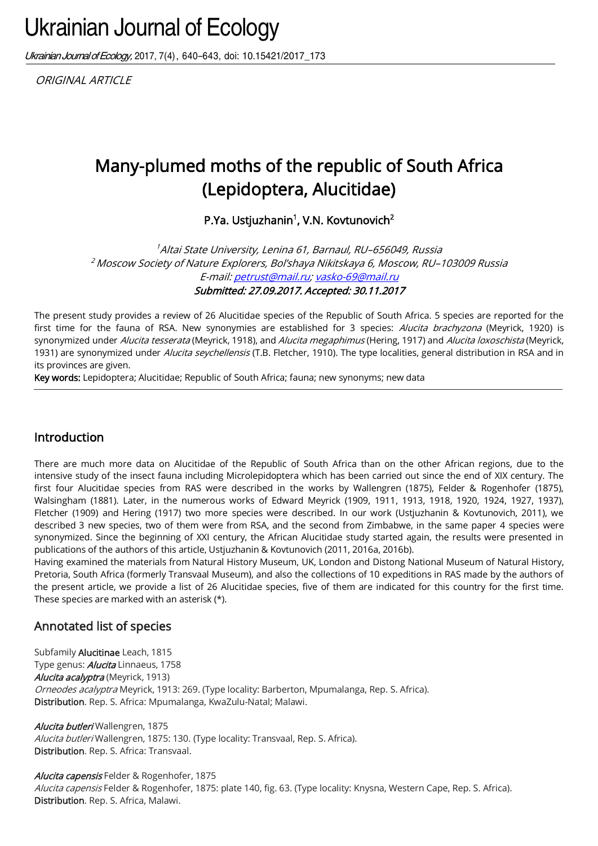# Ukrainian Journal of Ecology

Ukrainian Journal of Ecology, 2017, 7(4), 640-643, doi: 10.15421/2017\_173

ORIGINAL ARTICLE

## Many-plumed moths of the republic of South Africa (Lepidoptera, Alucitidae)

P.Ya. Ustjuzhanin<sup>1</sup>, V.N. Kovtunovich<sup>2</sup>

<sup>1</sup>Altai State University, Lenina 61, Barnaul, RU–656049, Russia <sup>2</sup> Moscow Society of Nature Explorers, Bol'shaya Nikitskaya 6, Moscow, RU–103009 Russia E-mail[: petrust@mail.ru;](mailto:petrust@mail.ru) [vasko-69@mail.ru](mailto:vasko-69@mail.ru) Submitted: 27.09.2017. Accepted: 30.11.2017

The present study provides a review of 26 Alucitidae species of the Republic of South Africa. 5 species are reported for the first time for the fauna of RSA. New synonymies are established for 3 species: Alucita brachyzona (Meyrick, 1920) is synonymized under Alucita tesserata (Meyrick, 1918), and Alucita megaphimus (Hering, 1917) and Alucita loxoschista (Meyrick, 1931) are synonymized under *Alucita seychellensis* (T.B. Fletcher, 1910). The type localities, general distribution in RSA and in its provinces are given.

Key words: Lepidoptera; Alucitidae; Republic of South Africa; fauna; new synonyms; new data

## Introduction

There are much more data on Alucitidae of the Republic of South Africa than on the other African regions, due to the intensive study of the insect fauna including Microlepidoptera which has been carried out since the end of XIX century. The first four Alucitidae species from RAS were described in the works by Wallengren (1875), Felder & Rogenhofer (1875), Walsingham (1881). Later, in the numerous works of Edward Meyrick (1909, 1911, 1913, 1918, 1920, 1924, 1927, 1937), Fletcher (1909) and Hering (1917) two more species were described. In our work (Ustjuzhanin & Kovtunovich, 2011), we described 3 new species, two of them were from RSA, and the second from Zimbabwe, in the same paper 4 species were synonymized. Since the beginning of XXI century, the African Alucitidae study started again, the results were presented in publications of the authors of this article, Ustjuzhanin & Kovtunovich (2011, 2016a, 2016b).

Having examined the materials from Natural History Museum, UK, London and Distong National Museum of Natural History, Pretoria, South Africa (formerly Transvaal Museum), and also the collections of 10 expeditions in RAS made by the authors of the present article, we provide a list of 26 Alucitidae species, five of them are indicated for this country for the first time. These species are marked with an asterisk (\*).

## Annotated list of species

Subfamily Alucitinae Leach, 1815 Type genus: **Alucita** Linnaeus, 1758 Alucita acalyptra (Meyrick, 1913) Orneodes acalyptra Meyrick, 1913: 269. (Type locality: Barberton, Mpumalanga, Rep. S. Africa). Distribution. Rep. S. Africa: Mpumalanga, KwaZulu-Natal; Malawi.

Alucita butleri Wallengren, 1875 Alucita butleri Wallengren, 1875: 130. (Type locality: Transvaal, Rep. S. Africa). Distribution. Rep. S. Africa: Transvaal.

Alucita capensis Felder & Rogenhofer, 1875 Alucita capensis Felder & Rogenhofer, 1875: plate 140, fig. 63. (Type locality: Knysna, Western Cape, Rep. S. Africa). Distribution. Rep. S. Africa, Malawi.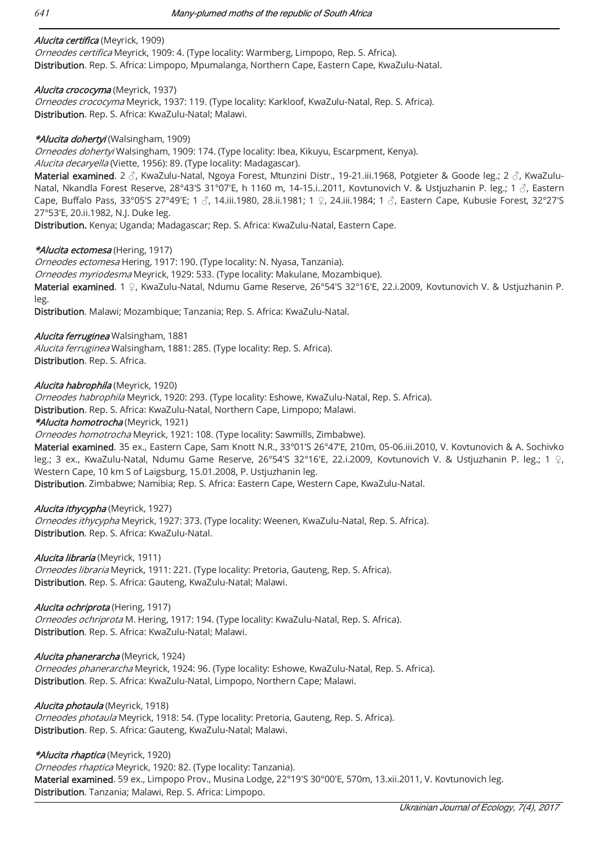#### Alucita certifica (Meyrick, 1909)

Orneodes certifica Meyrick, 1909: 4. (Type locality: Warmberg, Limpopo, Rep. S. Africa). Distribution. Rep. S. Africa: Limpopo, Mpumalanga, Northern Cape, Eastern Cape, KwaZulu-Natal.

#### Alucita crococyma (Meyrick, 1937)

Orneodes crococyma Meyrick, 1937: 119. (Type locality: Karkloof, KwaZulu-Natal, Rep. S. Africa). Distribution. Rep. S. Africa: KwaZulu-Natal; Malawi.

#### \*Alucita dohertyi (Walsingham, 1909)

Orneodes dohertyi Walsingham, 1909: 174. (Type locality: Ibea, Kikuyu, Escarpment, Kenya).

#### Alucita decaryella (Viette, 1956): 89. (Type locality: Madagascar).

Material examined. 2 ♂, KwaZulu-Natal, Ngoya Forest, Mtunzini Distr., 19-21.iii.1968, Potgieter & Goode leg.; 2 ♂, KwaZulu-Natal, Nkandla Forest Reserve, 28°43'S 31°07'E, h 1160 m, 14-15.i..2011, Kovtunovich V. & Ustjuzhanin P. leg.; 1  $\delta$ , Eastern Cape, Buffalo Pass, 33°05'S 27°49'E; 1 ♂, 14.iii.1980, 28.ii.1981; 1 ♀, 24.iii.1984; 1 ♂, Eastern Cape, Kubusie Forest, 32°27'S 27°53'E, 20.ii.1982, N.J. Duke leg.

Distribution. Kenya; Uganda; Madagascar; Rep. S. Africa: KwaZulu-Natal, Eastern Cape.

#### \*Alucita ectomesa (Hering, 1917)

Orneodes ectomesa Hering, 1917: 190. (Type locality: N. Nyasa, Tanzania). Orneodes myriodesma Meyrick, 1929: 533. (Type locality: Makulane, Mozambique). Material examined. 1 ♀, KwaZulu-Natal, Ndumu Game Reserve, 26°54'S 32°16'E, 22.i.2009, Kovtunovich V. & Ustjuzhanin P. leg.

Distribution. Malawi; Mozambique; Tanzania; Rep. S. Africa: KwaZulu-Natal.

#### Alucita ferruginea Walsingham, 1881

Alucita ferruginea Walsingham, 1881: 285. (Type locality: Rep. S. Africa). Distribution. Rep. S. Africa.

Alucita habrophila (Meyrick, 1920)

Orneodes habrophila Meyrick, 1920: 293. (Type locality: Eshowe, KwaZulu-Natal, Rep. S. Africa).

Distribution. Rep. S. Africa: KwaZulu-Natal, Northern Cape, Limpopo; Malawi.

\*Alucita homotrocha (Meyrick, 1921)

Orneodes homotrocha Meyrick, 1921: 108. (Type locality: Sawmills, Zimbabwe).

Material examined. 35 ex., Eastern Cape, Sam Knott N.R., 33°01'S 26°47'E, 210m, 05-06.iii.2010, V. Kovtunovich & A. Sochivko leg.; 3 ex., KwaZulu-Natal, Ndumu Game Reserve, 26°54'S 32°16'E, 22.i.2009, Kovtunovich V. & Ustjuzhanin P. leg.; 1 ♀, Western Cape, 10 km S of Laigsburg, 15.01.2008, P. Ustjuzhanin leg.

Distribution. Zimbabwe; Namibia; Rep. S. Africa: Eastern Cape, Western Cape, KwaZulu-Natal.

#### Alucita ithycypha (Meyrick, 1927)

Orneodes ithycypha Meyrick, 1927: 373. (Type locality: Weenen, KwaZulu-Natal, Rep. S. Africa). Distribution. Rep. S. Africa: KwaZulu-Natal.

Alucita libraria (Meyrick, 1911)

Orneodes libraria Meyrick, 1911: 221. (Type locality: Pretoria, Gauteng, Rep. S. Africa). Distribution. Rep. S. Africa: Gauteng, KwaZulu-Natal; Malawi.

#### Alucita ochriprota (Hering, 1917)

Orneodes ochriprota M. Hering, 1917: 194. (Type locality: KwaZulu-Natal, Rep. S. Africa). Distribution. Rep. S. Africa: KwaZulu-Natal; Malawi.

Alucita phanerarcha (Meyrick, 1924)

Orneodes phanerarcha Meyrick, 1924: 96. (Type locality: Eshowe, KwaZulu-Natal, Rep. S. Africa). Distribution. Rep. S. Africa: KwaZulu-Natal, Limpopo, Northern Cape; Malawi.

Alucita photaula (Meyrick, 1918) Orneodes photaula Meyrick, 1918: 54. (Type locality: Pretoria, Gauteng, Rep. S. Africa). Distribution. Rep. S. Africa: Gauteng, KwaZulu-Natal; Malawi.

#### \*Alucita rhaptica (Meyrick, 1920)

Orneodes rhaptica Meyrick, 1920: 82. (Type locality: Tanzania). Material examined. 59 ex., Limpopo Prov., Musina Lodge, 22°19'S 30°00'E, 570m, 13.xii.2011, V. Kovtunovich leg. Distribution. Tanzania; Malawi, Rep. S. Africa: Limpopo.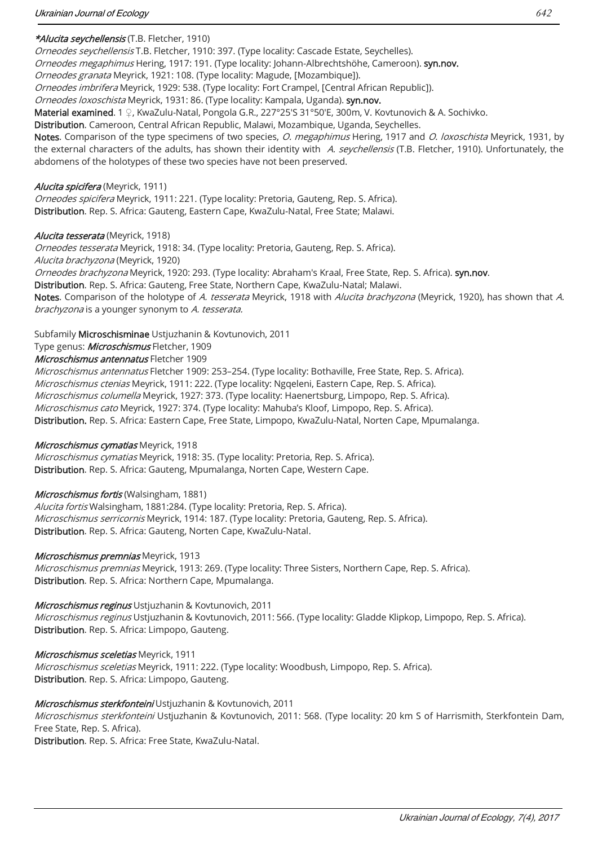#### \*Alucita seychellensis (T.B. Fletcher, 1910)

Orneodes seychellensis T.B. Fletcher, 1910: 397. (Type locality: Cascade Estate, Seychelles).

Orneodes megaphimus Hering, 1917: 191. (Type locality: Johann-Albrechtshöhe, Cameroon). syn.nov.

Orneodes granata Meyrick, 1921: 108. (Type locality: Magude, [Mozambique]).

Orneodes imbrifera Meyrick, 1929: 538. (Type locality: Fort Crampel, [Central African Republic]).

Orneodes loxoschista Meyrick, 1931: 86. (Type locality: Kampala, Uganda). syn.nov.

Material examined. 1 ♀, KwaZulu-Natal, Pongola G.R., 227°25'S 31°50'E, 300m, V. Kovtunovich & A. Sochivko.

Distribution. Cameroon, Central African Republic, Malawi, Mozambique, Uganda, Seychelles.

Notes. Comparison of the type specimens of two species, O. megaphimus Hering, 1917 and O. loxoschista Meyrick, 1931, by the external characters of the adults, has shown their identity with A. seychellensis (T.B. Fletcher, 1910). Unfortunately, the abdomens of the holotypes of these two species have not been preserved.

#### Alucita spicifera (Meyrick, 1911)

Orneodes spicifera Meyrick, 1911: 221. (Type locality: Pretoria, Gauteng, Rep. S. Africa). Distribution. Rep. S. Africa: Gauteng, Eastern Cape, KwaZulu-Natal, Free State; Malawi.

#### Alucita tesserata (Meyrick, 1918)

Orneodes tesserata Meyrick, 1918: 34. (Type locality: Pretoria, Gauteng, Rep. S. Africa). Alucita brachyzona (Meyrick, 1920) Orneodes brachyzona Meyrick, 1920: 293. (Type locality: Abraham's Kraal, Free State, Rep. S. Africa). syn.nov. Distribution. Rep. S. Africa: Gauteng, Free State, Northern Cape, KwaZulu-Natal; Malawi. Notes. Comparison of the holotype of A. tesserata Meyrick, 1918 with Alucita brachyzona (Meyrick, 1920), has shown that A. brachyzona is a younger synonym to A. tesserata.

Subfamily Microschisminae Ustjuzhanin & Kovtunovich, 2011

Type genus: *Microschismus* Fletcher, 1909

Microschismus antennatus Fletcher 1909

Microschismus antennatus Fletcher 1909: 253-254. (Type locality: Bothaville, Free State, Rep. S. Africa). Microschismus ctenias Meyrick, 1911: 222. (Type locality: Ngqeleni, Eastern Cape, Rep. S. Africa). Microschismus columella Meyrick, 1927: 373. (Type locality: Haenertsburg, Limpopo, Rep. S. Africa). Microschismus cato Meyrick, 1927: 374. (Type locality: Mahuba's Kloof, Limpopo, Rep. S. Africa). Distribution. Rep. S. Africa: Eastern Cape, Free State, Limpopo, KwaZulu-Natal, Norten Cape, Mpumalanga.

#### Microschismus cymatias Meyrick, 1918

Microschismus cymatias Meyrick, 1918: 35. (Type locality: Pretoria, Rep. S. Africa). Distribution. Rep. S. Africa: Gauteng, Mpumalanga, Norten Cape, Western Cape.

#### Microschismus fortis (Walsingham, 1881)

Alucita fortis Walsingham, 1881:284. (Type locality: Pretoria, Rep. S. Africa). Microschismus serricornis Meyrick, 1914: 187. (Type locality: Pretoria, Gauteng, Rep. S. Africa). Distribution. Rep. S. Africa: Gauteng, Norten Cape, KwaZulu-Natal.

#### Microschismus premnias Meyrick, 1913

Microschismus premnias Meyrick, 1913: 269. (Type locality: Three Sisters, Northern Cape, Rep. S. Africa). Distribution. Rep. S. Africa: Northern Cape, Mpumalanga.

Microschismus reginus Ustjuzhanin & Kovtunovich, 2011

Microschismus reginus Ustjuzhanin & Kovtunovich, 2011: 566. (Type locality: Gladde Klipkop, Limpopo, Rep. S. Africa). Distribution. Rep. S. Africa: Limpopo, Gauteng.

#### Microschismus sceletias Meyrick, 1911

Microschismus sceletias Meyrick, 1911: 222. (Type locality: Woodbush, Limpopo, Rep. S. Africa). Distribution. Rep. S. Africa: Limpopo, Gauteng.

#### Microschismus sterkfonteini Ustjuzhanin & Kovtunovich, 2011

Microschismus sterkfonteini Ustjuzhanin & Kovtunovich, 2011: 568. (Type locality: 20 km S of Harrismith, Sterkfontein Dam, Free State, Rep. S. Africa).

Distribution. Rep. S. Africa: Free State, KwaZulu-Natal.